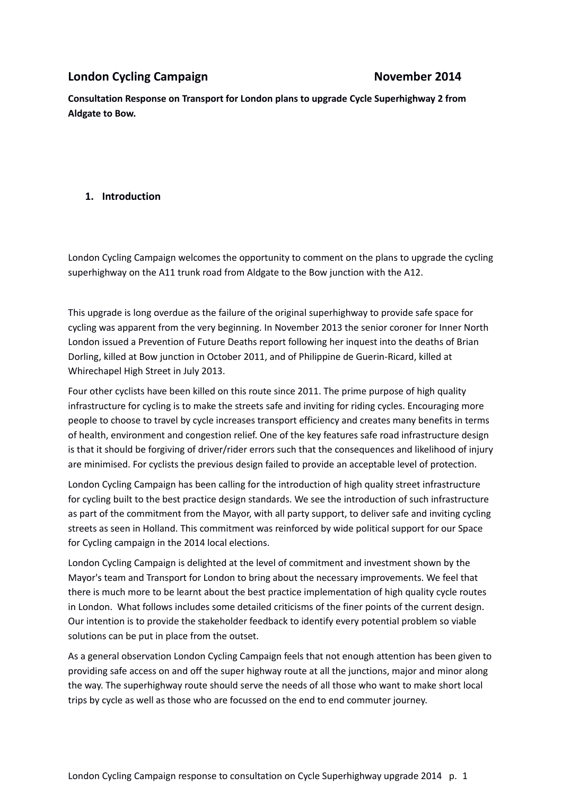# **London Cycling Campaign November 2014**

**Consultation Response on Transport for London plans to upgrade Cycle Superhighway 2 from Aldgate to Bow.**

## **1. Introduction**

London Cycling Campaign welcomes the opportunity to comment on the plans to upgrade the cycling superhighway on the A11 trunk road from Aldgate to the Bow junction with the A12.

This upgrade is long overdue as the failure of the original superhighway to provide safe space for cycling was apparent from the very beginning. In November 2013 the senior coroner for Inner North London issued a Prevention of Future Deaths report following her inquest into the deaths of Brian Dorling, killed at Bow junction in October 2011, and of Philippine de Guerin-Ricard, killed at Whirechapel High Street in July 2013.

Four other cyclists have been killed on this route since 2011. The prime purpose of high quality infrastructure for cycling is to make the streets safe and inviting for riding cycles. Encouraging more people to choose to travel by cycle increases transport efficiency and creates many benefits in terms of health, environment and congestion relief. One of the key features safe road infrastructure design is that it should be forgiving of driver/rider errors such that the consequences and likelihood of injury are minimised. For cyclists the previous design failed to provide an acceptable level of protection.

London Cycling Campaign has been calling for the introduction of high quality street infrastructure for cycling built to the best practice design standards. We see the introduction of such infrastructure as part of the commitment from the Mayor, with all party support, to deliver safe and inviting cycling streets as seen in Holland. This commitment was reinforced by wide political support for our Space for Cycling campaign in the 2014 local elections.

London Cycling Campaign is delighted at the level of commitment and investment shown by the Mayor's team and Transport for London to bring about the necessary improvements. We feel that there is much more to be learnt about the best practice implementation of high quality cycle routes in London. What follows includes some detailed criticisms of the finer points of the current design. Our intention is to provide the stakeholder feedback to identify every potential problem so viable solutions can be put in place from the outset.

As a general observation London Cycling Campaign feels that not enough attention has been given to providing safe access on and off the super highway route at all the junctions, major and minor along the way. The superhighway route should serve the needs of all those who want to make short local trips by cycle as well as those who are focussed on the end to end commuter journey.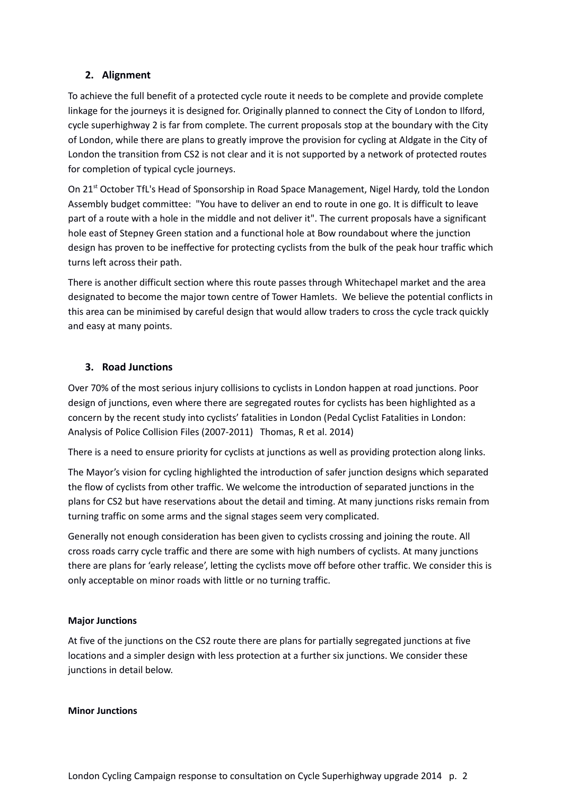## **2. Alignment**

To achieve the full benefit of a protected cycle route it needs to be complete and provide complete linkage for the journeys it is designed for. Originally planned to connect the City of London to Ilford, cycle superhighway 2 is far from complete. The current proposals stop at the boundary with the City of London, while there are plans to greatly improve the provision for cycling at Aldgate in the City of London the transition from CS2 is not clear and it is not supported by a network of protected routes for completion of typical cycle journeys.

On 21<sup>st</sup> October TfL's Head of Sponsorship in Road Space Management, Nigel Hardy, told the London Assembly budget committee: "You have to deliver an end to route in one go. It is difficult to leave part of a route with a hole in the middle and not deliver it". The current proposals have a significant hole east of Stepney Green station and a functional hole at Bow roundabout where the junction design has proven to be ineffective for protecting cyclists from the bulk of the peak hour traffic which turns left across their path.

There is another difficult section where this route passes through Whitechapel market and the area designated to become the major town centre of Tower Hamlets. We believe the potential conflicts in this area can be minimised by careful design that would allow traders to cross the cycle track quickly and easy at many points.

## **3. Road Junctions**

Over 70% of the most serious injury collisions to cyclists in London happen at road junctions. Poor design of junctions, even where there are segregated routes for cyclists has been highlighted as a concern by the recent study into cyclists' fatalities in London (Pedal Cyclist Fatalities in London: Analysis of Police Collision Files (2007-2011) Thomas, R et al. 2014)

There is a need to ensure priority for cyclists at junctions as well as providing protection along links.

The Mayor's vision for cycling highlighted the introduction of safer junction designs which separated the flow of cyclists from other traffic. We welcome the introduction of separated junctions in the plans for CS2 but have reservations about the detail and timing. At many junctions risks remain from turning traffic on some arms and the signal stages seem very complicated.

Generally not enough consideration has been given to cyclists crossing and joining the route. All cross roads carry cycle traffic and there are some with high numbers of cyclists. At many junctions there are plans for 'early release', letting the cyclists move off before other traffic. We consider this is only acceptable on minor roads with little or no turning traffic.

## **Major Junctions**

At five of the junctions on the CS2 route there are plans for partially segregated junctions at five locations and a simpler design with less protection at a further six junctions. We consider these junctions in detail below.

#### **Minor Junctions**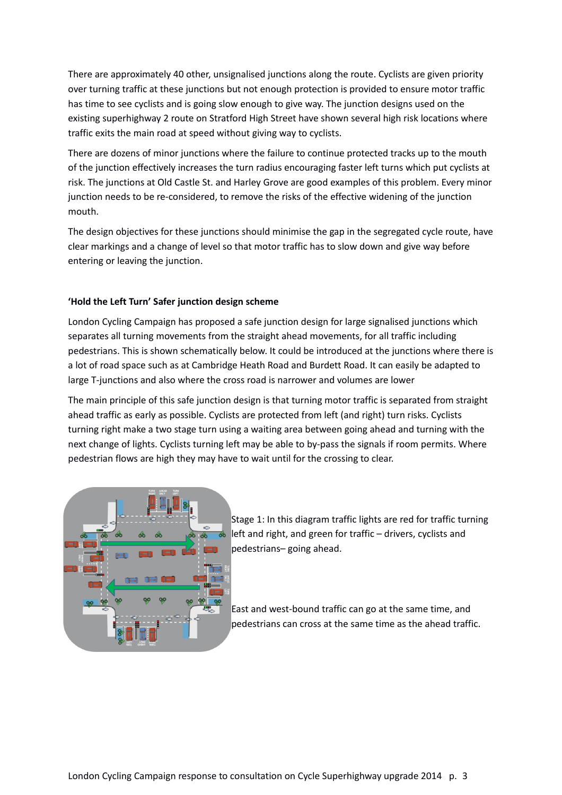There are approximately 40 other, unsignalised junctions along the route. Cyclists are given priority over turning traffic at these junctions but not enough protection is provided to ensure motor traffic has time to see cyclists and is going slow enough to give way. The junction designs used on the existing superhighway 2 route on Stratford High Street have shown several high risk locations where traffic exits the main road at speed without giving way to cyclists.

There are dozens of minor junctions where the failure to continue protected tracks up to the mouth of the junction effectively increases the turn radius encouraging faster left turns which put cyclists at risk. The junctions at Old Castle St. and Harley Grove are good examples of this problem. Every minor junction needs to be re-considered, to remove the risks of the effective widening of the junction mouth.

The design objectives for these junctions should minimise the gap in the segregated cycle route, have clear markings and a change of level so that motor traffic has to slow down and give way before entering or leaving the junction.

### **'Hold the Left Turn' Safer junction design scheme**

London Cycling Campaign has proposed a safe junction design for large signalised junctions which separates all turning movements from the straight ahead movements, for all traffic including pedestrians. This is shown schematically below. It could be introduced at the junctions where there is a lot of road space such as at Cambridge Heath Road and Burdett Road. It can easily be adapted to large T-junctions and also where the cross road is narrower and volumes are lower

The main principle of this safe junction design is that turning motor traffic is separated from straight ahead traffic as early as possible. Cyclists are protected from left (and right) turn risks. Cyclists turning right make a two stage turn using a waiting area between going ahead and turning with the next change of lights. Cyclists turning left may be able to by-pass the signals if room permits. Where pedestrian flows are high they may have to wait until for the crossing to clear.



Stage 1: In this diagram traffic lights are red for traffic turning left and right, and green for traffic – drivers, cyclists and pedestrians– going ahead.

East and west-bound traffic can go at the same time, and pedestrians can cross at the same time as the ahead traffic.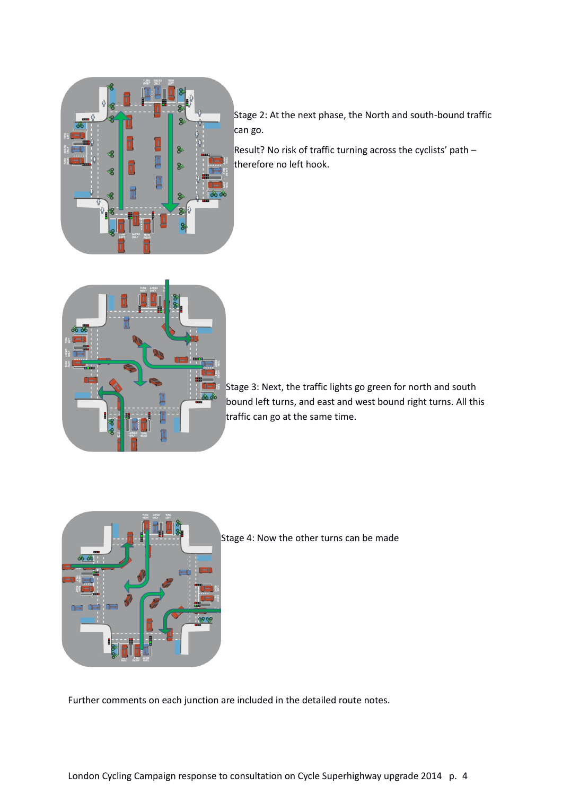

Stage 2: At the next phase, the North and south-bound traffic can go.

Result? No risk of traffic turning across the cyclists' path therefore no left hook.



Stage 3: Next, the traffic lights go green for north and south bound left turns, and east and west bound right turns. All this traffic can go at the same time.



Stage 4: Now the other turns can be made

Further comments on each junction are included in the detailed route notes.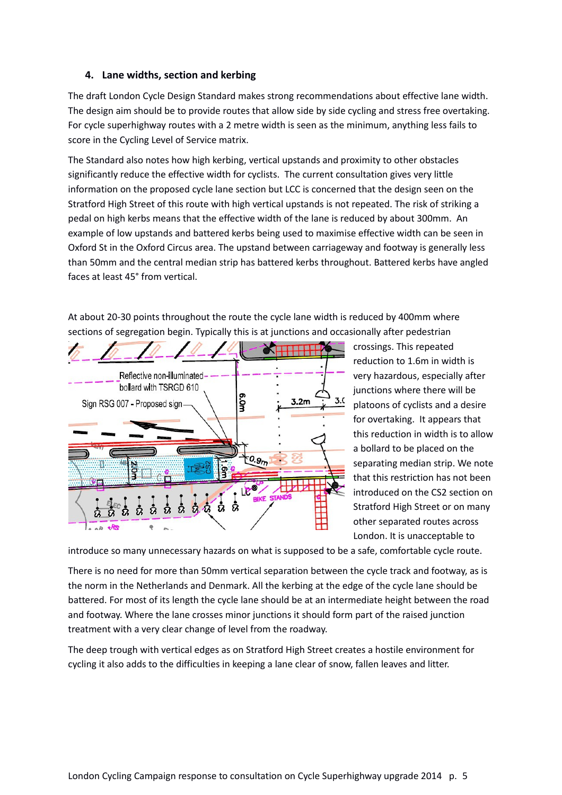## **4. Lane widths, section and kerbing**

The draft London Cycle Design Standard makes strong recommendations about effective lane width. The design aim should be to provide routes that allow side by side cycling and stress free overtaking. For cycle superhighway routes with a 2 metre width is seen as the minimum, anything less fails to score in the Cycling Level of Service matrix.

The Standard also notes how high kerbing, vertical upstands and proximity to other obstacles significantly reduce the effective width for cyclists. The current consultation gives very little information on the proposed cycle lane section but LCC is concerned that the design seen on the Stratford High Street of this route with high vertical upstands is not repeated. The risk of striking a pedal on high kerbs means that the effective width of the lane is reduced by about 300mm. An example of low upstands and battered kerbs being used to maximise effective width can be seen in Oxford St in the Oxford Circus area. The upstand between carriageway and footway is generally less than 50mm and the central median strip has battered kerbs throughout. Battered kerbs have angled faces at least 45° from vertical.

At about 20-30 points throughout the route the cycle lane width is reduced by 400mm where sections of segregation begin. Typically this is at junctions and occasionally after pedestrian



crossings. This repeated reduction to 1.6m in width is very hazardous, especially after junctions where there will be platoons of cyclists and a desire for overtaking. It appears that this reduction in width is to allow a bollard to be placed on the separating median strip. We note that this restriction has not been introduced on the CS2 section on Stratford High Street or on many other separated routes across London. It is unacceptable to

introduce so many unnecessary hazards on what is supposed to be a safe, comfortable cycle route.

There is no need for more than 50mm vertical separation between the cycle track and footway, as is the norm in the Netherlands and Denmark. All the kerbing at the edge of the cycle lane should be battered. For most of its length the cycle lane should be at an intermediate height between the road and footway. Where the lane crosses minor junctions it should form part of the raised junction treatment with a very clear change of level from the roadway.

The deep trough with vertical edges as on Stratford High Street creates a hostile environment for cycling it also adds to the difficulties in keeping a lane clear of snow, fallen leaves and litter.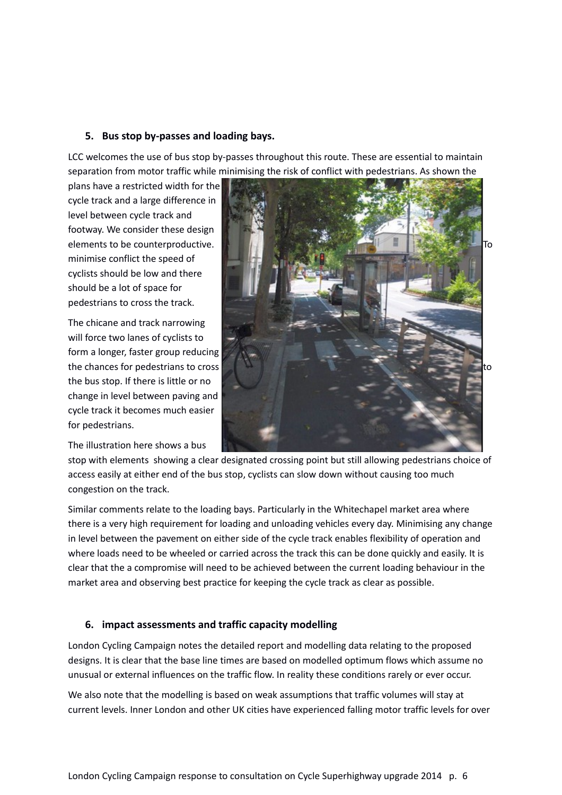## **5. Bus stop by-passes and loading bays.**

LCC welcomes the use of bus stop by-passes throughout this route. These are essential to maintain separation from motor traffic while minimising the risk of conflict with pedestrians. As shown the

plans have a restricted width for the cycle track and a large difference in level between cycle track and footway. We consider these design elements to be counterproductive. minimise conflict the speed of cyclists should be low and there should be a lot of space for pedestrians to cross the track.

The chicane and track narrowing will force two lanes of cyclists to form a longer, faster group reducing the chances for pedestrians to cross the bus stop. If there is little or no change in level between paving and cycle track it becomes much easier for pedestrians.

The illustration here shows a bus



stop with elements showing a clear designated crossing point but still allowing pedestrians choice of access easily at either end of the bus stop, cyclists can slow down without causing too much congestion on the track.

Similar comments relate to the loading bays. Particularly in the Whitechapel market area where there is a very high requirement for loading and unloading vehicles every day. Minimising any change in level between the pavement on either side of the cycle track enables flexibility of operation and where loads need to be wheeled or carried across the track this can be done quickly and easily. It is clear that the a compromise will need to be achieved between the current loading behaviour in the market area and observing best practice for keeping the cycle track as clear as possible.

## **6. impact assessments and traffic capacity modelling**

London Cycling Campaign notes the detailed report and modelling data relating to the proposed designs. It is clear that the base line times are based on modelled optimum flows which assume no unusual or external influences on the traffic flow. In reality these conditions rarely or ever occur.

We also note that the modelling is based on weak assumptions that traffic volumes will stay at current levels. Inner London and other UK cities have experienced falling motor traffic levels for over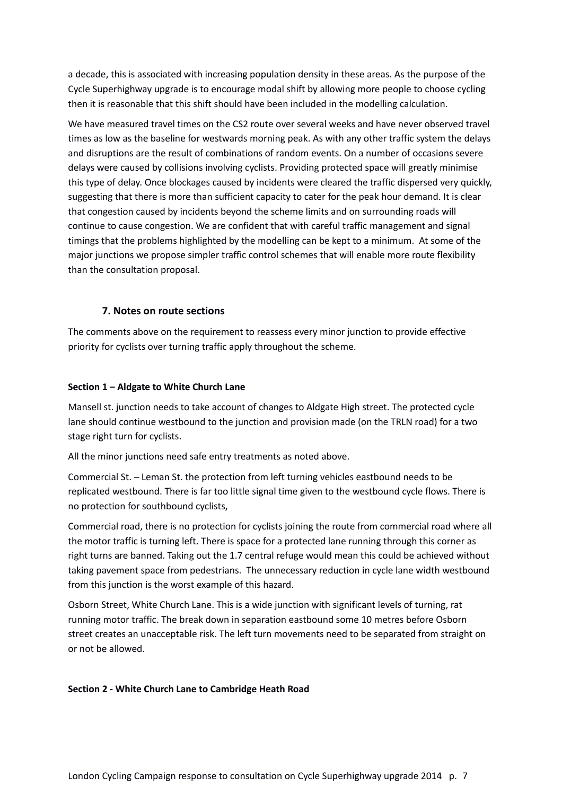a decade, this is associated with increasing population density in these areas. As the purpose of the Cycle Superhighway upgrade is to encourage modal shift by allowing more people to choose cycling then it is reasonable that this shift should have been included in the modelling calculation.

We have measured travel times on the CS2 route over several weeks and have never observed travel times as low as the baseline for westwards morning peak. As with any other traffic system the delays and disruptions are the result of combinations of random events. On a number of occasions severe delays were caused by collisions involving cyclists. Providing protected space will greatly minimise this type of delay. Once blockages caused by incidents were cleared the traffic dispersed very quickly, suggesting that there is more than sufficient capacity to cater for the peak hour demand. It is clear that congestion caused by incidents beyond the scheme limits and on surrounding roads will continue to cause congestion. We are confident that with careful traffic management and signal timings that the problems highlighted by the modelling can be kept to a minimum. At some of the major junctions we propose simpler traffic control schemes that will enable more route flexibility than the consultation proposal.

#### **7. Notes on route sections**

The comments above on the requirement to reassess every minor junction to provide effective priority for cyclists over turning traffic apply throughout the scheme.

#### **Section 1 – Aldgate to White Church Lane**

Mansell st. junction needs to take account of changes to Aldgate High street. The protected cycle lane should continue westbound to the junction and provision made (on the TRLN road) for a two stage right turn for cyclists.

All the minor junctions need safe entry treatments as noted above.

Commercial St. – Leman St. the protection from left turning vehicles eastbound needs to be replicated westbound. There is far too little signal time given to the westbound cycle flows. There is no protection for southbound cyclists,

Commercial road, there is no protection for cyclists joining the route from commercial road where all the motor traffic is turning left. There is space for a protected lane running through this corner as right turns are banned. Taking out the 1.7 central refuge would mean this could be achieved without taking pavement space from pedestrians. The unnecessary reduction in cycle lane width westbound from this junction is the worst example of this hazard.

Osborn Street, White Church Lane. This is a wide junction with significant levels of turning, rat running motor traffic. The break down in separation eastbound some 10 metres before Osborn street creates an unacceptable risk. The left turn movements need to be separated from straight on or not be allowed.

#### **Section 2 - White Church Lane to Cambridge Heath Road**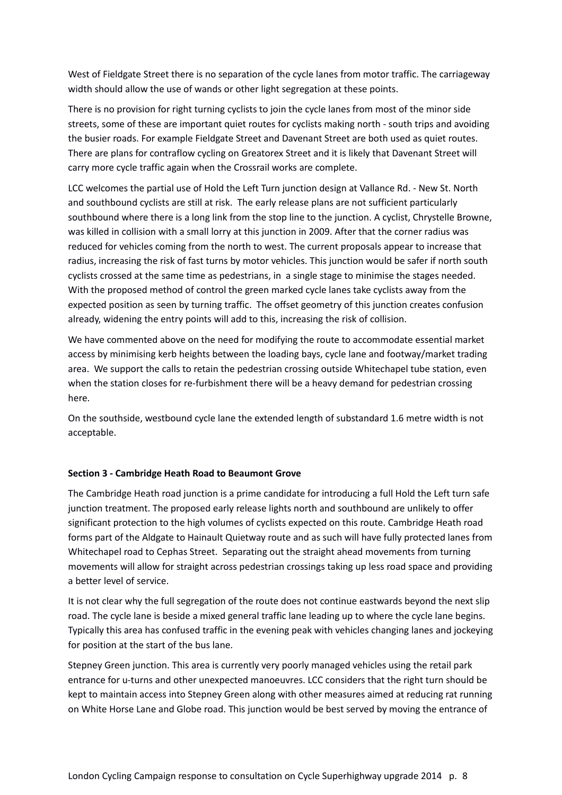West of Fieldgate Street there is no separation of the cycle lanes from motor traffic. The carriageway width should allow the use of wands or other light segregation at these points.

There is no provision for right turning cyclists to join the cycle lanes from most of the minor side streets, some of these are important quiet routes for cyclists making north - south trips and avoiding the busier roads. For example Fieldgate Street and Davenant Street are both used as quiet routes. There are plans for contraflow cycling on Greatorex Street and it is likely that Davenant Street will carry more cycle traffic again when the Crossrail works are complete.

LCC welcomes the partial use of Hold the Left Turn junction design at Vallance Rd. - New St. North and southbound cyclists are still at risk. The early release plans are not sufficient particularly southbound where there is a long link from the stop line to the junction. A cyclist, Chrystelle Browne, was killed in collision with a small lorry at this junction in 2009. After that the corner radius was reduced for vehicles coming from the north to west. The current proposals appear to increase that radius, increasing the risk of fast turns by motor vehicles. This junction would be safer if north south cyclists crossed at the same time as pedestrians, in a single stage to minimise the stages needed. With the proposed method of control the green marked cycle lanes take cyclists away from the expected position as seen by turning traffic. The offset geometry of this junction creates confusion already, widening the entry points will add to this, increasing the risk of collision.

We have commented above on the need for modifying the route to accommodate essential market access by minimising kerb heights between the loading bays, cycle lane and footway/market trading area. We support the calls to retain the pedestrian crossing outside Whitechapel tube station, even when the station closes for re-furbishment there will be a heavy demand for pedestrian crossing here.

On the southside, westbound cycle lane the extended length of substandard 1.6 metre width is not acceptable.

#### **Section 3 - Cambridge Heath Road to Beaumont Grove**

The Cambridge Heath road junction is a prime candidate for introducing a full Hold the Left turn safe junction treatment. The proposed early release lights north and southbound are unlikely to offer significant protection to the high volumes of cyclists expected on this route. Cambridge Heath road forms part of the Aldgate to Hainault Quietway route and as such will have fully protected lanes from Whitechapel road to Cephas Street. Separating out the straight ahead movements from turning movements will allow for straight across pedestrian crossings taking up less road space and providing a better level of service.

It is not clear why the full segregation of the route does not continue eastwards beyond the next slip road. The cycle lane is beside a mixed general traffic lane leading up to where the cycle lane begins. Typically this area has confused traffic in the evening peak with vehicles changing lanes and jockeying for position at the start of the bus lane.

Stepney Green junction. This area is currently very poorly managed vehicles using the retail park entrance for u-turns and other unexpected manoeuvres. LCC considers that the right turn should be kept to maintain access into Stepney Green along with other measures aimed at reducing rat running on White Horse Lane and Globe road. This junction would be best served by moving the entrance of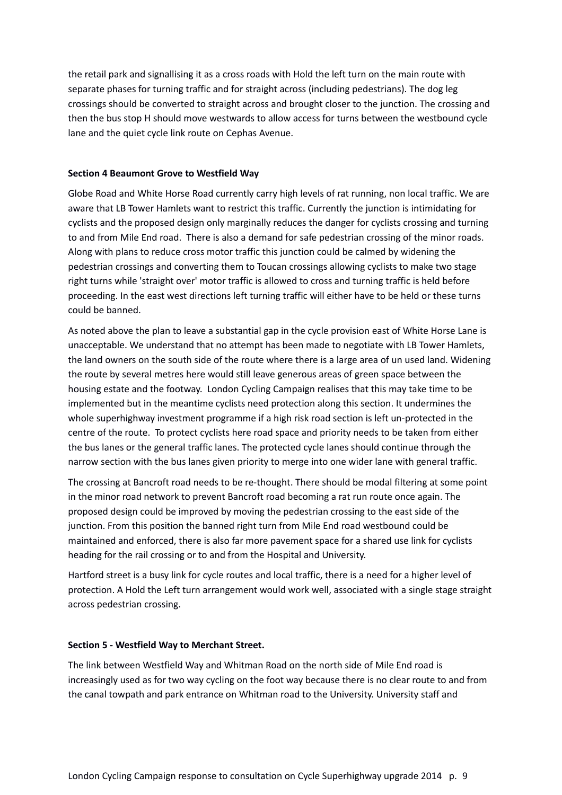the retail park and signallising it as a cross roads with Hold the left turn on the main route with separate phases for turning traffic and for straight across (including pedestrians). The dog leg crossings should be converted to straight across and brought closer to the junction. The crossing and then the bus stop H should move westwards to allow access for turns between the westbound cycle lane and the quiet cycle link route on Cephas Avenue.

#### **Section 4 Beaumont Grove to Westfield Way**

Globe Road and White Horse Road currently carry high levels of rat running, non local traffic. We are aware that LB Tower Hamlets want to restrict this traffic. Currently the junction is intimidating for cyclists and the proposed design only marginally reduces the danger for cyclists crossing and turning to and from Mile End road. There is also a demand for safe pedestrian crossing of the minor roads. Along with plans to reduce cross motor traffic this junction could be calmed by widening the pedestrian crossings and converting them to Toucan crossings allowing cyclists to make two stage right turns while 'straight over' motor traffic is allowed to cross and turning traffic is held before proceeding. In the east west directions left turning traffic will either have to be held or these turns could be banned.

As noted above the plan to leave a substantial gap in the cycle provision east of White Horse Lane is unacceptable. We understand that no attempt has been made to negotiate with LB Tower Hamlets, the land owners on the south side of the route where there is a large area of un used land. Widening the route by several metres here would still leave generous areas of green space between the housing estate and the footway. London Cycling Campaign realises that this may take time to be implemented but in the meantime cyclists need protection along this section. It undermines the whole superhighway investment programme if a high risk road section is left un-protected in the centre of the route. To protect cyclists here road space and priority needs to be taken from either the bus lanes or the general traffic lanes. The protected cycle lanes should continue through the narrow section with the bus lanes given priority to merge into one wider lane with general traffic.

The crossing at Bancroft road needs to be re-thought. There should be modal filtering at some point in the minor road network to prevent Bancroft road becoming a rat run route once again. The proposed design could be improved by moving the pedestrian crossing to the east side of the junction. From this position the banned right turn from Mile End road westbound could be maintained and enforced, there is also far more pavement space for a shared use link for cyclists heading for the rail crossing or to and from the Hospital and University.

Hartford street is a busy link for cycle routes and local traffic, there is a need for a higher level of protection. A Hold the Left turn arrangement would work well, associated with a single stage straight across pedestrian crossing.

#### **Section 5 - Westfield Way to Merchant Street.**

The link between Westfield Way and Whitman Road on the north side of Mile End road is increasingly used as for two way cycling on the foot way because there is no clear route to and from the canal towpath and park entrance on Whitman road to the University. University staff and